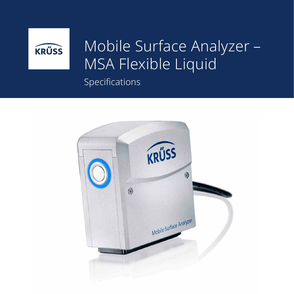

## Mobile Surface Analyzer – MSA Flexible Liquid Specifications

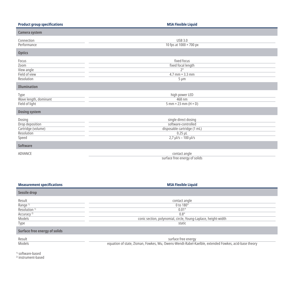| <b>Product group specifications</b>                                    | <b>MSA Flexible Liquid</b>                                                                                            |
|------------------------------------------------------------------------|-----------------------------------------------------------------------------------------------------------------------|
| Camera system                                                          |                                                                                                                       |
| Connection<br>Performance                                              | <b>USB 3.0</b><br>10 fps at 1000 × 700 px                                                                             |
| <b>Optics</b>                                                          |                                                                                                                       |
| Focus<br>Zoom<br>View angle<br>Field of view<br>Resolution             | fixed focus<br>fixed focal length<br>$2^{\circ}$<br>$4.7$ mm $\times$ 3.3 mm<br>$5 \mu m$                             |
| <b>Illumination</b>                                                    |                                                                                                                       |
| Type<br>Wave length, dominant<br>Field of light                        | high power LED<br>468 nm<br>$5$ mm $\times$ 23 mm (H $\times$ D)                                                      |
| <b>Dosing system</b>                                                   |                                                                                                                       |
| Dosing<br>Drop deposition<br>Cartridge (volume)<br>Resolution<br>Speed | single direct dosing<br>software-controlled<br>disposable cartridge (1 mL)<br>$0.25$ $\mu$ L<br>$2.7$ µl/s - 100 µl/s |
| <b>Software</b>                                                        |                                                                                                                       |
| ADVANCE                                                                | contact angle<br>surface free energy of solids                                                                        |

| <b>Measurement specifications</b> | <b>MSA Flexible Liquid</b>                                     |  |
|-----------------------------------|----------------------------------------------------------------|--|
| Sessile drop                      |                                                                |  |
| Result                            | contact angle                                                  |  |
| Range <sup>1)</sup>               | 0 to 180°                                                      |  |
| Resolution <sup>1)</sup>          | $0.01^\circ$                                                   |  |
| Accuracy <sup>2)</sup>            | $0.8^\circ$                                                    |  |
| Models                            | conic section, polynomial, circle, Young-Laplace, height-width |  |
| Type                              | static                                                         |  |
| Surface free energy of solids     |                                                                |  |

Result **Models** 

surface free energy equation of state, Zisman, Fowkes, Wu, Owens-Wendt-Rabel-Kaelble, extended Fowkes, acid-base theory

1) software-based

2) instrument-based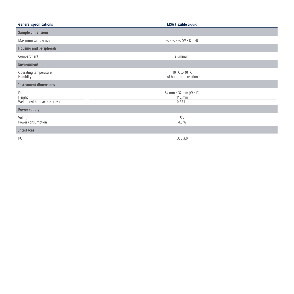| <b>General specifications</b>                       | <b>MSA Flexible Liquid</b>                                     |
|-----------------------------------------------------|----------------------------------------------------------------|
| <b>Sample dimensions</b>                            |                                                                |
| Maximum sample size                                 | $\infty \times \infty \times \infty$ (W $\times$ D $\times$ H) |
| <b>Housing and peripherals</b>                      |                                                                |
| Compartment                                         | aluminum                                                       |
| <b>Environment</b>                                  |                                                                |
| Operating temperature<br><b>Humidity</b>            | 10 °C to 40 °C<br>without condensation                         |
| <b>Instrument dimensions</b>                        |                                                                |
| Footprint<br>Height<br>Weight (without accessories) | 84 mm $\times$ 32 mm (W $\times$ D)<br>112 mm<br>$0.85$ kg     |
| <b>Power supply</b>                                 |                                                                |
| Voltage<br>Power consumption                        | 5 V<br>4.5W                                                    |
| <b>Interfaces</b>                                   |                                                                |
| PC                                                  | <b>USB 3.0</b>                                                 |